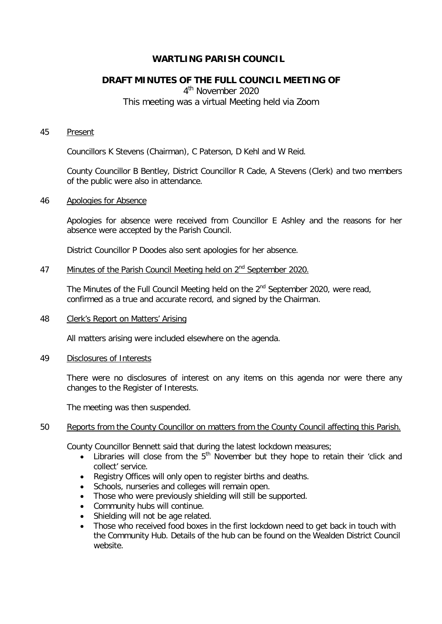# **WARTLING PARISH COUNCIL**

# **DRAFT MINUTES OF THE FULL COUNCIL MEETING OF**

4<sup>th</sup> November 2020 This meeting was a virtual Meeting held via Zoom

#### 45 Present

Councillors K Stevens (Chairman), C Paterson, D Kehl and W Reid.

County Councillor B Bentley, District Councillor R Cade, A Stevens (Clerk) and two members of the public were also in attendance.

#### 46 Apologies for Absence

Apologies for absence were received from Councillor E Ashley and the reasons for her absence were accepted by the Parish Council.

District Councillor P Doodes also sent apologies for her absence.

# 47 Minutes of the Parish Council Meeting held on  $2<sup>nd</sup>$  September 2020.

The Minutes of the Full Council Meeting held on the  $2^{nd}$  September 2020, were read, confirmed as a true and accurate record, and signed by the Chairman.

#### 48 Clerk's Report on Matters' Arising

All matters arising were included elsewhere on the agenda.

#### 49 Disclosures of Interests

There were no disclosures of interest on any items on this agenda nor were there any changes to the Register of Interests.

The meeting was then suspended.

## 50 Reports from the County Councillor on matters from the County Council affecting this Parish.

County Councillor Bennett said that during the latest lockdown measures;

- Libraries will close from the  $5<sup>th</sup>$  November but they hope to retain their 'click and collect' service.
- Registry Offices will only open to register births and deaths.
- Schools, nurseries and colleges will remain open.
- Those who were previously shielding will still be supported.
- Community hubs will continue.
- Shielding will not be age related.
- Those who received food boxes in the first lockdown need to get back in touch with the Community Hub. Details of the hub can be found on the Wealden District Council website.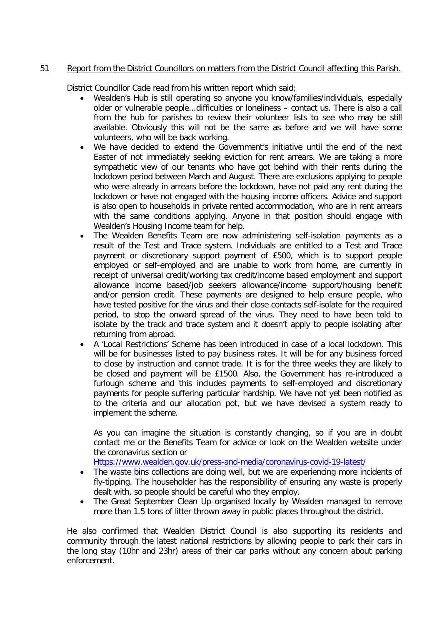# 51 Report from the District Councillors on matters from the District Council affecting this Parish.

District Councillor Cade read from his written report which said;

- Wealden's Hub is still operating so anyone you know/families/individuals, especially older or vulnerable people...difficulties or loneliness – contact us. There is also a call from the hub for parishes to review their volunteer lists to see who may be still available. Obviously this will not be the same as before and we will have some volunteers, who will be back working.
- We have decided to extend the Government's initiative until the end of the next Easter of not immediately seeking eviction for rent arrears. We are taking a more sympathetic view of our tenants who have got behind with their rents during the lockdown period between March and August. There are exclusions applying to people who were already in arrears before the lockdown, have not paid any rent during the lockdown or have not engaged with the housing income officers. Advice and support is also open to households in private rented accommodation, who are in rent arrears with the same conditions applying. Anyone in that position should engage with Wealden's Housing Income team for help.
- The Wealden Benefits Team are now administering self-isolation payments as a result of the Test and Trace system. Individuals are entitled to a Test and Trace payment or discretionary support payment of £500, which is to support people employed or self-employed and are unable to work from home, are currently in receipt of universal credit/working tax credit/income based employment and support allowance income based/job seekers allowance/income support/housing benefit and/or pension credit. These payments are designed to help ensure people, who have tested positive for the virus and their close contacts self-isolate for the required period, to stop the onward spread of the virus. They need to have been told to isolate by the track and trace system and it doesn't apply to people isolating after returning from abroad.
- A 'Local Restrictions' Scheme has been introduced in case of a local lockdown. This will be for businesses listed to pay business rates. It will be for any business forced to close by instruction and cannot trade. It is for the three weeks they are likely to be closed and payment will be £1500. Also, the Government has re-introduced a furlough scheme and this includes payments to self-employed and discretionary payments for people suffering particular hardship. We have not yet been notified as to the criteria and our allocation pot, but we have devised a system ready to implement the scheme.

As you can imagine the situation is constantly changing, so if you are in doubt contact me or the Benefits Team for advice or look on the Wealden website under the coronavirus section or

[Https://www.wealden.gov.uk/press-and-media/coronavirus-covid-19-latest/](https://www.wealden.gov.uk/press-and-media/coronavirus-covid-19-latest/)

- The waste bins collections are doing well, but we are experiencing more incidents of fly-tipping. The householder has the responsibility of ensuring any waste is properly dealt with, so people should be careful who they employ.
- The Great September Clean Up organised locally by Wealden managed to remove more than 1.5 tons of litter thrown away in public places throughout the district.

He also confirmed that Wealden District Council is also supporting its residents and community through the latest national restrictions by allowing people to park their cars in the long stay (10hr and 23hr) areas of their car parks without any concern about parking enforcement.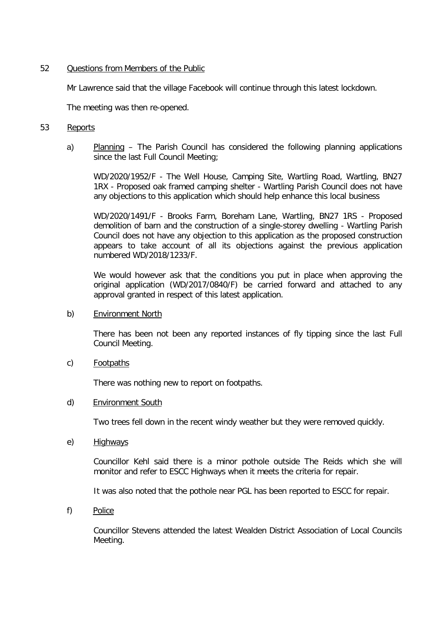## 52 Questions from Members of the Public

Mr Lawrence said that the village Facebook will continue through this latest lockdown.

The meeting was then re-opened.

# 53 Reports

a) Planning – The Parish Council has considered the following planning applications since the last Full Council Meeting;

WD/2020/1952/F - The Well House, Camping Site, Wartling Road, Wartling, BN27 1RX - Proposed oak framed camping shelter - Wartling Parish Council does not have any objections to this application which should help enhance this local business

WD/2020/1491/F - Brooks Farm, Boreham Lane, Wartling, BN27 1RS - Proposed demolition of barn and the construction of a single-storey dwelling - Wartling Parish Council does not have any objection to this application as the proposed construction appears to take account of all its objections against the previous application numbered WD/2018/1233/F.

We would however ask that the conditions you put in place when approving the original application (WD/2017/0840/F) be carried forward and attached to any approval granted in respect of this latest application.

#### b) Environment North

There has been not been any reported instances of fly tipping since the last Full Council Meeting.

c) Footpaths

There was nothing new to report on footpaths.

d) Environment South

Two trees fell down in the recent windy weather but they were removed quickly.

e) Highways

Councillor Kehl said there is a minor pothole outside The Reids which she will monitor and refer to ESCC Highways when it meets the criteria for repair.

It was also noted that the pothole near PGL has been reported to ESCC for repair.

f) Police

Councillor Stevens attended the latest Wealden District Association of Local Councils Meeting.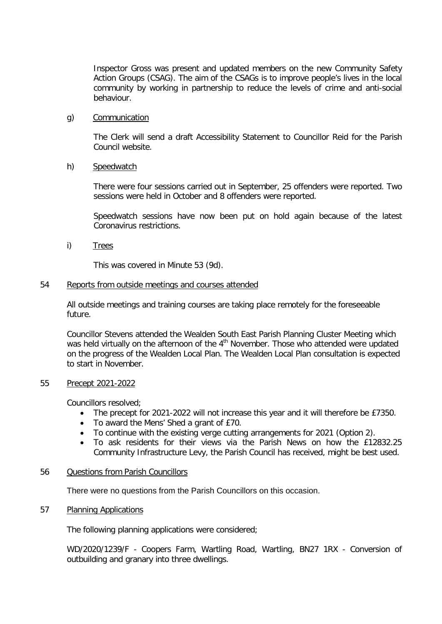Inspector Gross was present and updated members on the new Community Safety Action Groups (CSAG). The aim of the CSAGs is to improve people's lives in the local community by working in partnership to reduce the levels of crime and anti-social behaviour.

## g) Communication

The Clerk will send a draft Accessibility Statement to Councillor Reid for the Parish Council website.

# h) Speedwatch

There were four sessions carried out in September, 25 offenders were reported. Two sessions were held in October and 8 offenders were reported.

Speedwatch sessions have now been put on hold again because of the latest Coronavirus restrictions.

i) Trees

This was covered in Minute 53 (9d).

## 54 Reports from outside meetings and courses attended

All outside meetings and training courses are taking place remotely for the foreseeable future.

Councillor Stevens attended the Wealden South East Parish Planning Cluster Meeting which was held virtually on the afternoon of the 4<sup>th</sup> November. Those who attended were updated on the progress of the Wealden Local Plan. The Wealden Local Plan consultation is expected to start in November.

#### 55 Precept 2021-2022

Councillors resolved;

- The precept for 2021-2022 will not increase this year and it will therefore be £7350.
- To award the Mens' Shed a grant of £70.
- To continue with the existing verge cutting arrangements for 2021 (Option 2).
- To ask residents for their views via the Parish News on how the £12832.25 Community Infrastructure Levy, the Parish Council has received, might be best used.

#### 56 Questions from Parish Councillors

There were no questions from the Parish Councillors on this occasion.

### 57 Planning Applications

The following planning applications were considered;

WD/2020/1239/F - Coopers Farm, Wartling Road, Wartling, BN27 1RX - Conversion of outbuilding and granary into three dwellings.